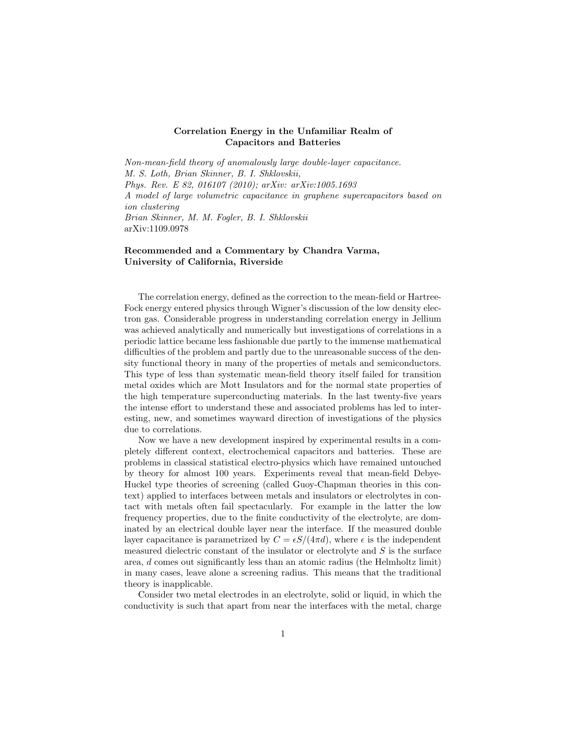## Correlation Energy in the Unfamiliar Realm of Capacitors and Batteries

Non-mean-field theory of anomalously large double-layer capacitance. M. S. Loth, Brian Skinner, B. I. Shklovskii, Phys. Rev. E 82, 016107 (2010); arXiv: arXiv:1005.1693 A model of large volumetric capacitance in graphene supercapacitors based on ion clustering Brian Skinner, M. M. Fogler, B. I. Shklovskii arXiv:1109.0978

## Recommended and a Commentary by Chandra Varma, University of California, Riverside

The correlation energy, defined as the correction to the mean-field or Hartree-Fock energy entered physics through Wigner's discussion of the low density electron gas. Considerable progress in understanding correlation energy in Jellium was achieved analytically and numerically but investigations of correlations in a periodic lattice became less fashionable due partly to the immense mathematical difficulties of the problem and partly due to the unreasonable success of the density functional theory in many of the properties of metals and semiconductors. This type of less than systematic mean-field theory itself failed for transition metal oxides which are Mott Insulators and for the normal state properties of the high temperature superconducting materials. In the last twenty-five years the intense effort to understand these and associated problems has led to interesting, new, and sometimes wayward direction of investigations of the physics due to correlations.

Now we have a new development inspired by experimental results in a completely different context, electrochemical capacitors and batteries. These are problems in classical statistical electro-physics which have remained untouched by theory for almost 100 years. Experiments reveal that mean-field Debye-Huckel type theories of screening (called Guoy-Chapman theories in this context) applied to interfaces between metals and insulators or electrolytes in contact with metals often fail spectacularly. For example in the latter the low frequency properties, due to the finite conductivity of the electrolyte, are dominated by an electrical double layer near the interface. If the measured double layer capacitance is parametrized by  $C = \epsilon S/(4\pi d)$ , where  $\epsilon$  is the independent measured dielectric constant of the insulator or electrolyte and S is the surface area, d comes out significantly less than an atomic radius (the Helmholtz limit) in many cases, leave alone a screening radius. This means that the traditional theory is inapplicable.

Consider two metal electrodes in an electrolyte, solid or liquid, in which the conductivity is such that apart from near the interfaces with the metal, charge